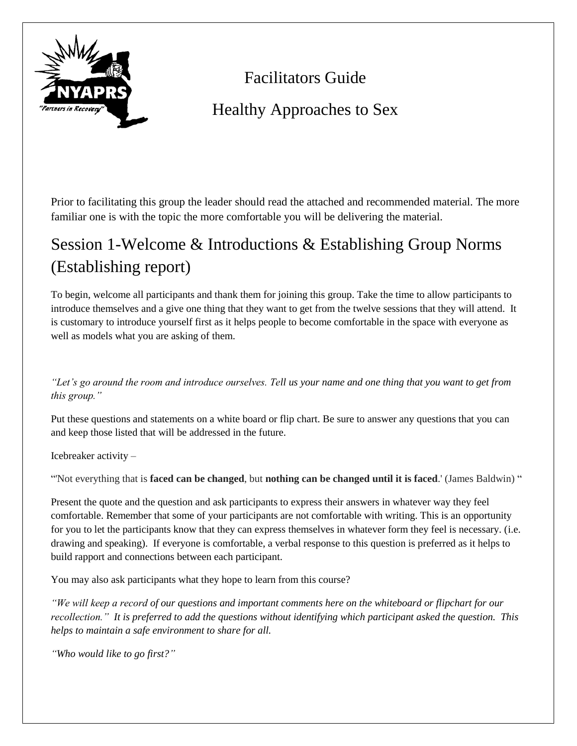

# Facilitators Guide

# Healthy Approaches to Sex

Prior to facilitating this group the leader should read the attached and recommended material. The more familiar one is with the topic the more comfortable you will be delivering the material.

# Session 1-Welcome & Introductions & Establishing Group Norms (Establishing report)

To begin, welcome all participants and thank them for joining this group. Take the time to allow participants to introduce themselves and a give one thing that they want to get from the twelve sessions that they will attend. It is customary to introduce yourself first as it helps people to become comfortable in the space with everyone as well as models what you are asking of them.

*"Let's go around the room and introduce ourselves. Tell us your name and one thing that you want to get from this group."*

Put these questions and statements on a white board or flip chart. Be sure to answer any questions that you can and keep those listed that will be addressed in the future.

Icebreaker activity –

"'Not everything that is **faced can be changed**, but **nothing can be changed until it is faced**.' (James Baldwin) "

Present the quote and the question and ask participants to express their answers in whatever way they feel comfortable. Remember that some of your participants are not comfortable with writing. This is an opportunity for you to let the participants know that they can express themselves in whatever form they feel is necessary. (i.e. drawing and speaking). If everyone is comfortable, a verbal response to this question is preferred as it helps to build rapport and connections between each participant.

You may also ask participants what they hope to learn from this course?

*"We will keep a record of our questions and important comments here on the whiteboard or flipchart for our recollection." It is preferred to add the questions without identifying which participant asked the question. This helps to maintain a safe environment to share for all.* 

*"Who would like to go first?"*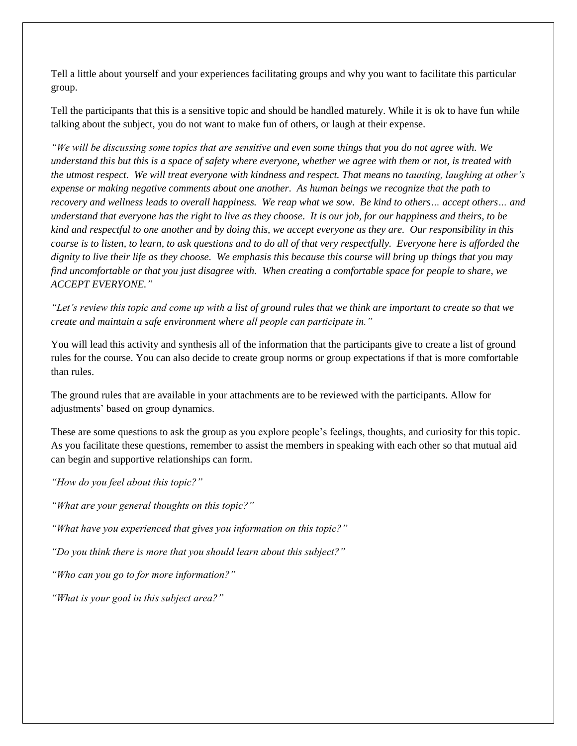Tell a little about yourself and your experiences facilitating groups and why you want to facilitate this particular group.

Tell the participants that this is a sensitive topic and should be handled maturely. While it is ok to have fun while talking about the subject, you do not want to make fun of others, or laugh at their expense.

*"We will be discussing some topics that are sensitive and even some things that you do not agree with. We understand this but this is a space of safety where everyone, whether we agree with them or not, is treated with the utmost respect. We will treat everyone with kindness and respect. That means no taunting, laughing at other's expense or making negative comments about one another. As human beings we recognize that the path to recovery and wellness leads to overall happiness. We reap what we sow. Be kind to others… accept others… and understand that everyone has the right to live as they choose. It is our job, for our happiness and theirs, to be kind and respectful to one another and by doing this, we accept everyone as they are. Our responsibility in this course is to listen, to learn, to ask questions and to do all of that very respectfully. Everyone here is afforded the dignity to live their life as they choose. We emphasis this because this course will bring up things that you may find uncomfortable or that you just disagree with. When creating a comfortable space for people to share, we ACCEPT EVERYONE."*

*"Let's review this topic and come up with a list of ground rules that we think are important to create so that we create and maintain a safe environment where all people can participate in."*

You will lead this activity and synthesis all of the information that the participants give to create a list of ground rules for the course. You can also decide to create group norms or group expectations if that is more comfortable than rules.

The ground rules that are available in your attachments are to be reviewed with the participants. Allow for adjustments' based on group dynamics.

These are some questions to ask the group as you explore people's feelings, thoughts, and curiosity for this topic. As you facilitate these questions, remember to assist the members in speaking with each other so that mutual aid can begin and supportive relationships can form.

*"How do you feel about this topic?"*

*"What are your general thoughts on this topic?"*

*"What have you experienced that gives you information on this topic?"*

*"Do you think there is more that you should learn about this subject?"*

*"Who can you go to for more information?"*

*"What is your goal in this subject area?"*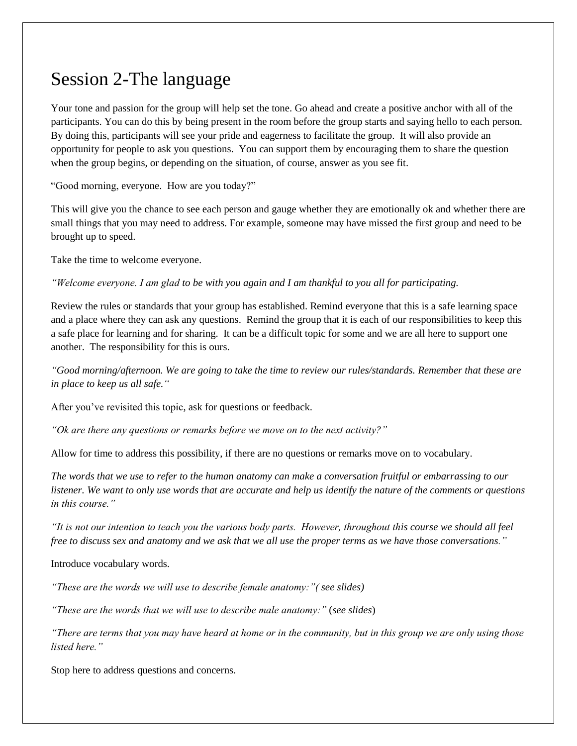## Session 2-The language

Your tone and passion for the group will help set the tone. Go ahead and create a positive anchor with all of the participants. You can do this by being present in the room before the group starts and saying hello to each person. By doing this, participants will see your pride and eagerness to facilitate the group. It will also provide an opportunity for people to ask you questions. You can support them by encouraging them to share the question when the group begins, or depending on the situation, of course, answer as you see fit.

"Good morning, everyone. How are you today?"

This will give you the chance to see each person and gauge whether they are emotionally ok and whether there are small things that you may need to address. For example, someone may have missed the first group and need to be brought up to speed.

Take the time to welcome everyone.

*"Welcome everyone. I am glad to be with you again and I am thankful to you all for participating.* 

Review the rules or standards that your group has established. Remind everyone that this is a safe learning space and a place where they can ask any questions. Remind the group that it is each of our responsibilities to keep this a safe place for learning and for sharing. It can be a difficult topic for some and we are all here to support one another. The responsibility for this is ours.

*"Good morning/afternoon. We are going to take the time to review our rules/standards. Remember that these are in place to keep us all safe."*

After you've revisited this topic, ask for questions or feedback.

*"Ok are there any questions or remarks before we move on to the next activity?"*

Allow for time to address this possibility, if there are no questions or remarks move on to vocabulary.

*The words that we use to refer to the human anatomy can make a conversation fruitful or embarrassing to our listener. We want to only use words that are accurate and help us identify the nature of the comments or questions in this course."*

*"It is not our intention to teach you the various body parts. However, throughout this course we should all feel free to discuss sex and anatomy and we ask that we all use the proper terms as we have those conversations."*

Introduce vocabulary words.

*"These are the words we will use to describe female anatomy:"( see slides)*

*"These are the words that we will use to describe male anatomy:"* (*see slides*)

*"There are terms that you may have heard at home or in the community, but in this group we are only using those listed here."*

Stop here to address questions and concerns.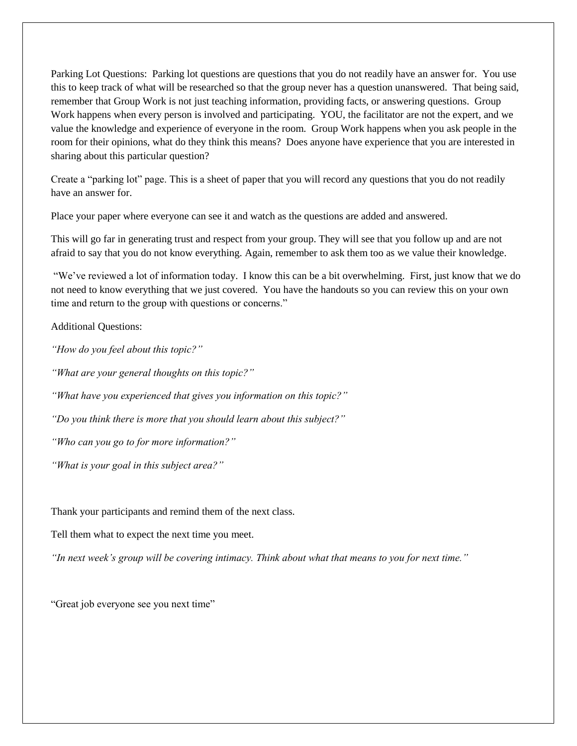Parking Lot Questions: Parking lot questions are questions that you do not readily have an answer for. You use this to keep track of what will be researched so that the group never has a question unanswered. That being said, remember that Group Work is not just teaching information, providing facts, or answering questions. Group Work happens when every person is involved and participating. YOU, the facilitator are not the expert, and we value the knowledge and experience of everyone in the room. Group Work happens when you ask people in the room for their opinions, what do they think this means? Does anyone have experience that you are interested in sharing about this particular question?

Create a "parking lot" page. This is a sheet of paper that you will record any questions that you do not readily have an answer for.

Place your paper where everyone can see it and watch as the questions are added and answered.

This will go far in generating trust and respect from your group. They will see that you follow up and are not afraid to say that you do not know everything. Again, remember to ask them too as we value their knowledge.

"We've reviewed a lot of information today. I know this can be a bit overwhelming. First, just know that we do not need to know everything that we just covered. You have the handouts so you can review this on your own time and return to the group with questions or concerns."

Additional Questions:

*"How do you feel about this topic?"*

*"What are your general thoughts on this topic?"*

*"What have you experienced that gives you information on this topic?"*

*"Do you think there is more that you should learn about this subject?"*

*"Who can you go to for more information?"*

*"What is your goal in this subject area?"*

Thank your participants and remind them of the next class.

Tell them what to expect the next time you meet.

*"In next week's group will be covering intimacy. Think about what that means to you for next time."*

"Great job everyone see you next time"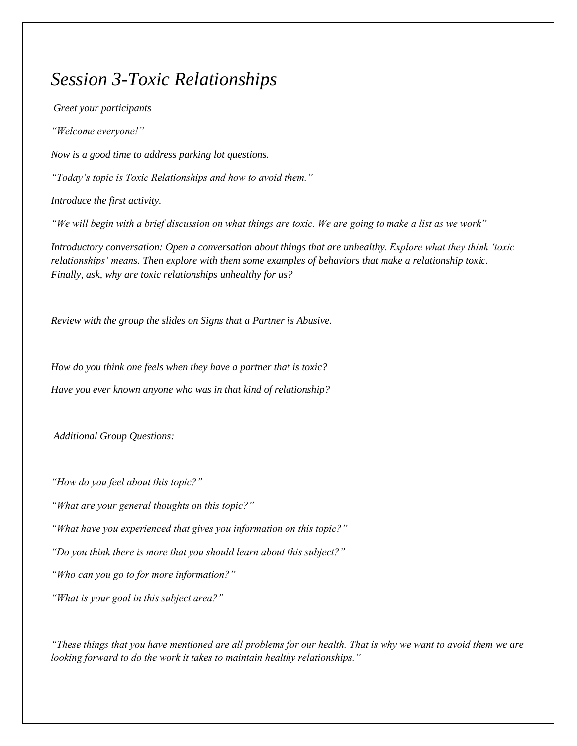## *Session 3-Toxic Relationships*

*Greet your participants "Welcome everyone!" Now is a good time to address parking lot questions. "Today's topic is Toxic Relationships and how to avoid them." Introduce the first activity. "We will begin with a brief discussion on what things are toxic. We are going to make a list as we work" Introductory conversation: Open a conversation about things that are unhealthy. Explore what they think 'toxic relationships' means. Then explore with them some examples of behaviors that make a relationship toxic. Finally, ask, why are toxic relationships unhealthy for us?*

*Review with the group the slides on Signs that a Partner is Abusive.*

*How do you think one feels when they have a partner that is toxic? Have you ever known anyone who was in that kind of relationship?*

*Additional Group Questions:*

*"How do you feel about this topic?"*

*"What are your general thoughts on this topic?"*

*"What have you experienced that gives you information on this topic?"*

*"Do you think there is more that you should learn about this subject?"*

*"Who can you go to for more information?"*

*"What is your goal in this subject area?"*

*"These things that you have mentioned are all problems for our health. That is why we want to avoid them we are looking forward to do the work it takes to maintain healthy relationships."*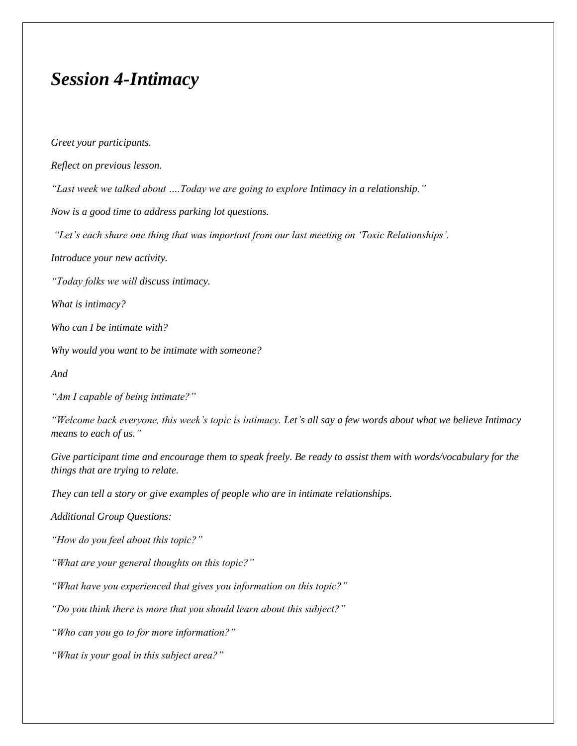## *Session 4-Intimacy*

*Greet your participants. Reflect on previous lesson. "Last week we talked about ….Today we are going to explore Intimacy in a relationship." Now is a good time to address parking lot questions. "Let's each share one thing that was important from our last meeting on 'Toxic Relationships'. Introduce your new activity. "Today folks we will discuss intimacy. What is intimacy? Who can I be intimate with? Why would you want to be intimate with someone? And "Am I capable of being intimate?" "Welcome back everyone, this week's topic is intimacy. Let's all say a few words about what we believe Intimacy means to each of us." Give participant time and encourage them to speak freely. Be ready to assist them with words/vocabulary for the things that are trying to relate. They can tell a story or give examples of people who are in intimate relationships. Additional Group Questions: "How do you feel about this topic?" "What are your general thoughts on this topic?" "What have you experienced that gives you information on this topic?" "Do you think there is more that you should learn about this subject?" "Who can you go to for more information?" "What is your goal in this subject area?"*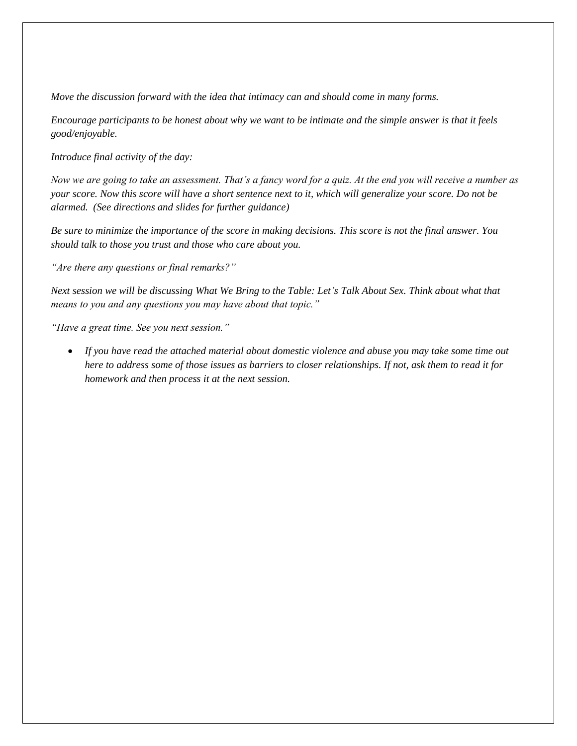*Move the discussion forward with the idea that intimacy can and should come in many forms.* 

*Encourage participants to be honest about why we want to be intimate and the simple answer is that it feels good/enjoyable.*

*Introduce final activity of the day:*

*Now we are going to take an assessment. That's a fancy word for a quiz. At the end you will receive a number as your score. Now this score will have a short sentence next to it, which will generalize your score. Do not be alarmed. (See directions and slides for further guidance)*

*Be sure to minimize the importance of the score in making decisions. This score is not the final answer. You should talk to those you trust and those who care about you.*

*"Are there any questions or final remarks?"*

*Next session we will be discussing What We Bring to the Table: Let's Talk About Sex. Think about what that means to you and any questions you may have about that topic."*

*"Have a great time. See you next session."*

 *If you have read the attached material about domestic violence and abuse you may take some time out here to address some of those issues as barriers to closer relationships. If not, ask them to read it for homework and then process it at the next session.*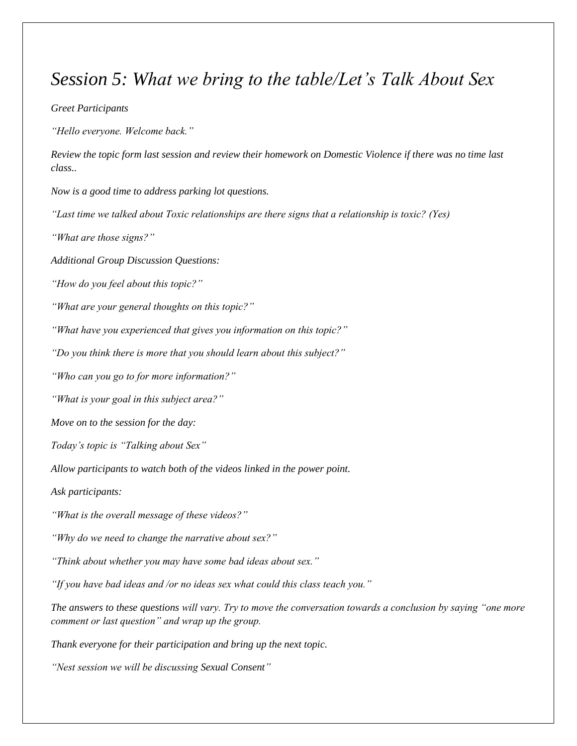## *Session 5: What we bring to the table/Let's Talk About Sex*

#### *Greet Participants*

*"Hello everyone. Welcome back."*

*Review the topic form last session and review their homework on Domestic Violence if there was no time last class..* 

*Now is a good time to address parking lot questions.*

*"Last time we talked about Toxic relationships are there signs that a relationship is toxic? (Yes)*

*"What are those signs?"*

*Additional Group Discussion Questions:*

*"How do you feel about this topic?"*

*"What are your general thoughts on this topic?"*

*"What have you experienced that gives you information on this topic?"*

*"Do you think there is more that you should learn about this subject?"*

*"Who can you go to for more information?"*

*"What is your goal in this subject area?"*

*Move on to the session for the day:*

*Today's topic is "Talking about Sex"*

*Allow participants to watch both of the videos linked in the power point.*

*Ask participants:*

*"What is the overall message of these videos?"*

*"Why do we need to change the narrative about sex?"*

*"Think about whether you may have some bad ideas about sex."*

*"If you have bad ideas and /or no ideas sex what could this class teach you."*

*The answers to these questions will vary. Try to move the conversation towards a conclusion by saying "one more comment or last question" and wrap up the group.*

*Thank everyone for their participation and bring up the next topic.*

*"Nest session we will be discussing Sexual Consent"*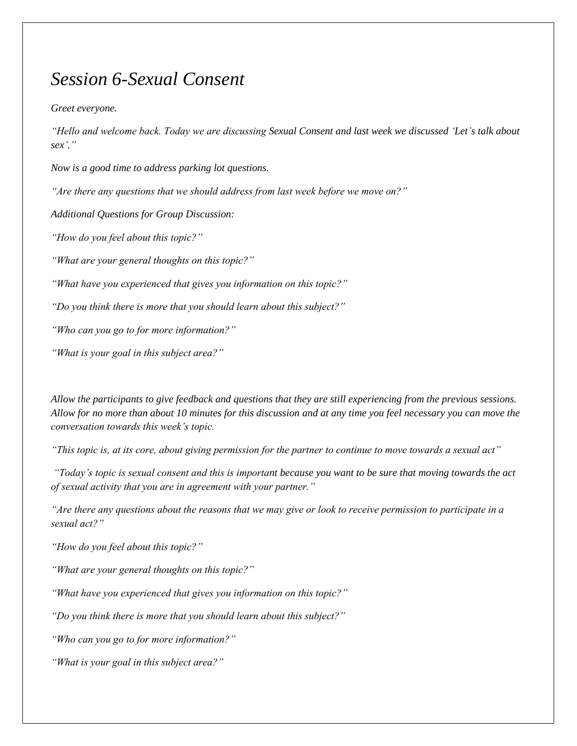# *Session 6-Sexual Consent*

*Greet everyone.*

*"Hello and welcome back. Today we are discussing Sexual Consent and last week we discussed 'Let's talk about sex'."* 

*Now is a good time to address parking lot questions.*

*"Are there any questions that we should address from last week before we move on?"*

*Additional Questions for Group Discussion:*

*"How do you feel about this topic?"*

*"What are your general thoughts on this topic?"*

*"What have you experienced that gives you information on this topic?"*

*"Do you think there is more that you should learn about this subject?"*

*"Who can you go to for more information?"*

*"What is your goal in this subject area?"*

*Allow the participants to give feedback and questions that they are still experiencing from the previous sessions. Allow for no more than about 10 minutes for this discussion and at any time you feel necessary you can move the conversation towards this week's topic.*

*"This topic is, at its core, about giving permission for the partner to continue to move towards a sexual act"*

*"Today's topic is sexual consent and this is important because you want to be sure that moving towards the act of sexual activity that you are in agreement with your partner."*

*"Are there any questions about the reasons that we may give or look to receive permission to participate in a sexual act?"*

*"How do you feel about this topic?"*

*"What are your general thoughts on this topic?"*

*"What have you experienced that gives you information on this topic?"*

*"Do you think there is more that you should learn about this subject?"*

*"Who can you go to for more information?"*

*"What is your goal in this subject area?"*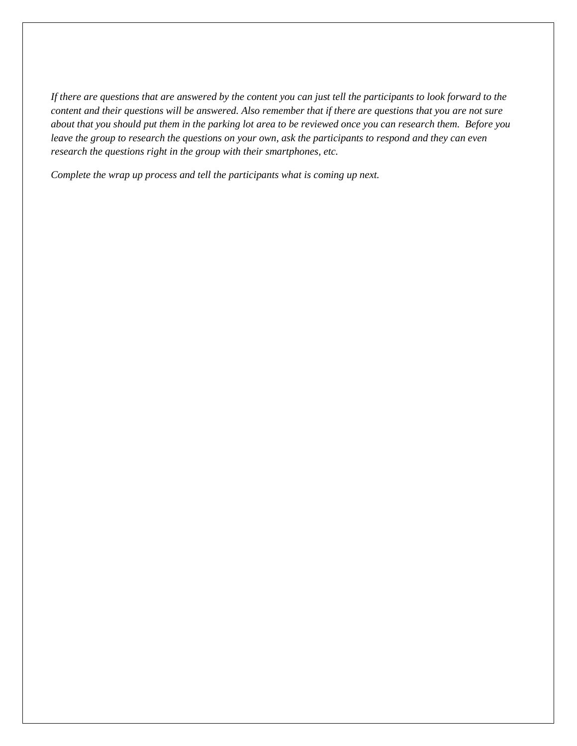*If there are questions that are answered by the content you can just tell the participants to look forward to the content and their questions will be answered. Also remember that if there are questions that you are not sure about that you should put them in the parking lot area to be reviewed once you can research them. Before you leave the group to research the questions on your own, ask the participants to respond and they can even research the questions right in the group with their smartphones, etc.* 

*Complete the wrap up process and tell the participants what is coming up next.*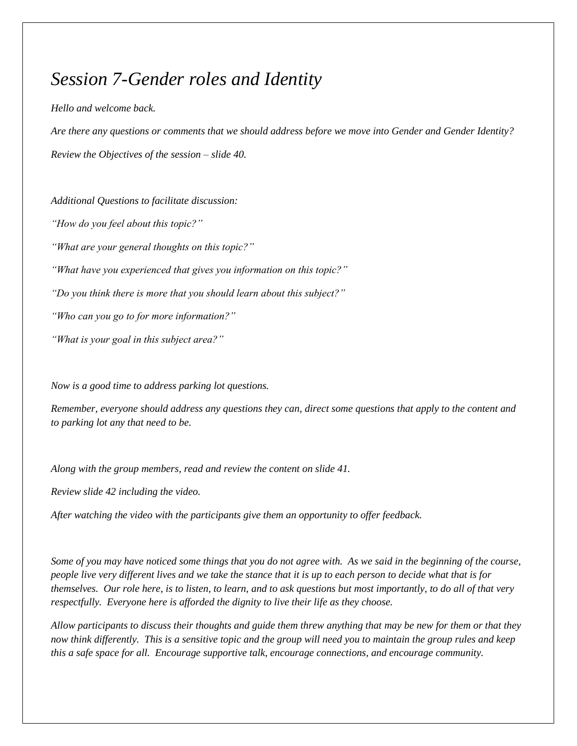# *Session 7-Gender roles and Identity*

#### *Hello and welcome back.*

*Are there any questions or comments that we should address before we move into Gender and Gender Identity? Review the Objectives of the session – slide 40.*

*Additional Questions to facilitate discussion:*

*"How do you feel about this topic?"*

*"What are your general thoughts on this topic?"*

*"What have you experienced that gives you information on this topic?"*

*"Do you think there is more that you should learn about this subject?"*

*"Who can you go to for more information?"*

*"What is your goal in this subject area?"*

*Now is a good time to address parking lot questions.*

*Remember, everyone should address any questions they can, direct some questions that apply to the content and to parking lot any that need to be.*

*Along with the group members, read and review the content on slide 41.*

*Review slide 42 including the video.*

*After watching the video with the participants give them an opportunity to offer feedback.* 

*Some of you may have noticed some things that you do not agree with. As we said in the beginning of the course, people live very different lives and we take the stance that it is up to each person to decide what that is for themselves. Our role here, is to listen, to learn, and to ask questions but most importantly, to do all of that very respectfully. Everyone here is afforded the dignity to live their life as they choose.*

*Allow participants to discuss their thoughts and guide them threw anything that may be new for them or that they now think differently. This is a sensitive topic and the group will need you to maintain the group rules and keep this a safe space for all. Encourage supportive talk, encourage connections, and encourage community.*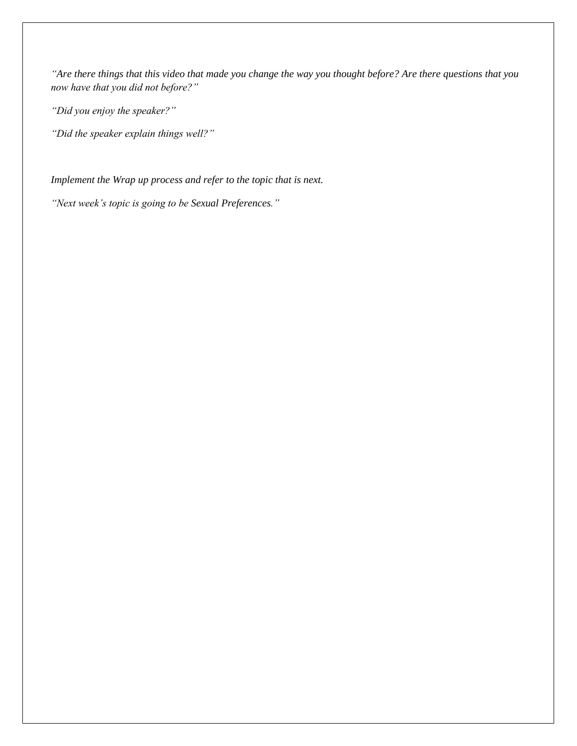*"Are there things that this video that made you change the way you thought before? Are there questions that you now have that you did not before?"*

*"Did you enjoy the speaker?"*

*"Did the speaker explain things well?"*

*Implement the Wrap up process and refer to the topic that is next.*

*"Next week's topic is going to be Sexual Preferences."*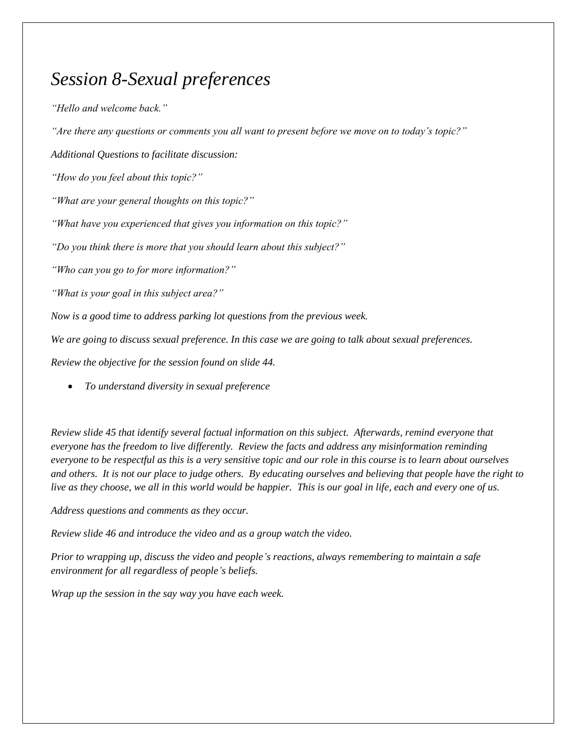# *Session 8-Sexual preferences*

*"Hello and welcome back."*

*"Are there any questions or comments you all want to present before we move on to today's topic?"*

*Additional Questions to facilitate discussion:*

*"How do you feel about this topic?"*

*"What are your general thoughts on this topic?"*

*"What have you experienced that gives you information on this topic?"*

*"Do you think there is more that you should learn about this subject?"*

*"Who can you go to for more information?"*

*"What is your goal in this subject area?"*

*Now is a good time to address parking lot questions from the previous week.*

*We are going to discuss sexual preference. In this case we are going to talk about sexual preferences.*

*Review the objective for the session found on slide 44.* 

*To understand diversity in sexual preference*

*Review slide 45 that identify several factual information on this subject. Afterwards, remind everyone that everyone has the freedom to live differently. Review the facts and address any misinformation reminding everyone to be respectful as this is a very sensitive topic and our role in this course is to learn about ourselves and others. It is not our place to judge others. By educating ourselves and believing that people have the right to live as they choose, we all in this world would be happier. This is our goal in life, each and every one of us.* 

*Address questions and comments as they occur.*

*Review slide 46 and introduce the video and as a group watch the video.*

*Prior to wrapping up, discuss the video and people's reactions, always remembering to maintain a safe environment for all regardless of people's beliefs.* 

*Wrap up the session in the say way you have each week.*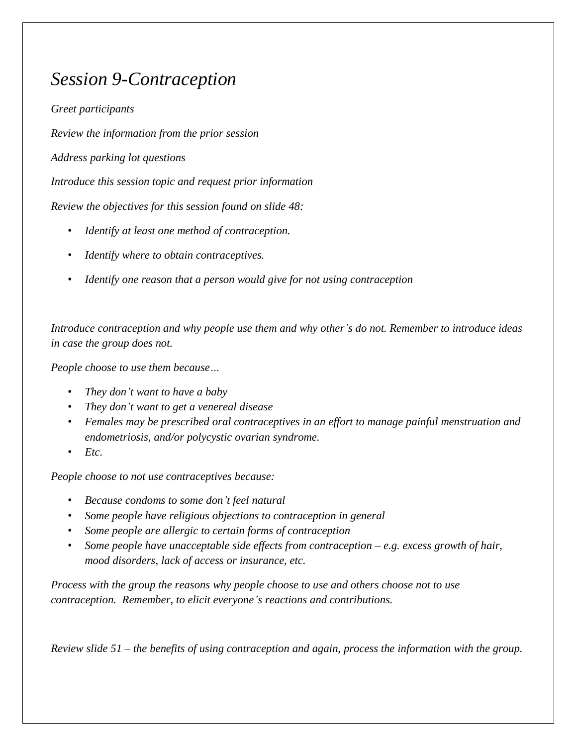# *Session 9-Contraception*

*Greet participants*

*Review the information from the prior session*

*Address parking lot questions*

*Introduce this session topic and request prior information*

*Review the objectives for this session found on slide 48:*

- *Identify at least one method of contraception.*
- *Identify where to obtain contraceptives.*
- *Identify one reason that a person would give for not using contraception*

*Introduce contraception and why people use them and why other's do not. Remember to introduce ideas in case the group does not.*

*People choose to use them because…*

- *They don't want to have a baby*
- *They don't want to get a venereal disease*
- *Females may be prescribed oral contraceptives in an effort to manage painful menstruation and endometriosis, and/or polycystic ovarian syndrome.*
- *Etc.*

*People choose to not use contraceptives because:*

- *Because condoms to some don't feel natural*
- *Some people have religious objections to contraception in general*
- *Some people are allergic to certain forms of contraception*
- *Some people have unacceptable side effects from contraception – e.g. excess growth of hair, mood disorders, lack of access or insurance, etc.*

*Process with the group the reasons why people choose to use and others choose not to use contraception. Remember, to elicit everyone's reactions and contributions.* 

*Review slide 51 – the benefits of using contraception and again, process the information with the group.*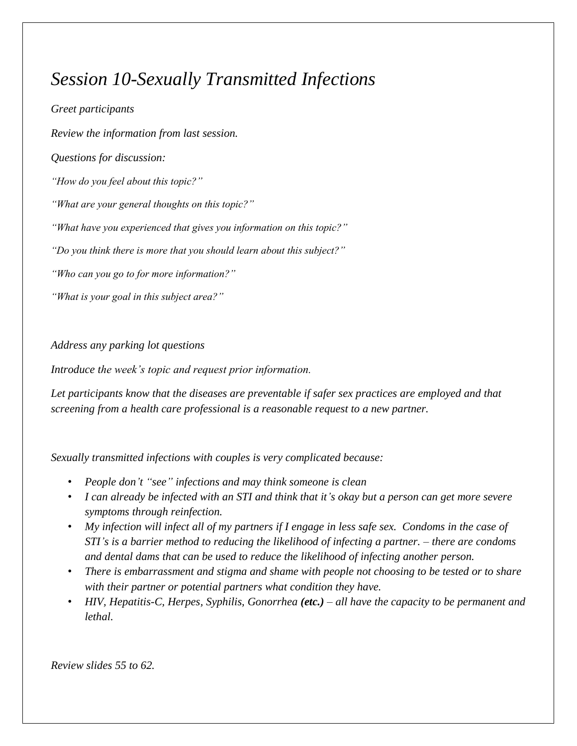# *Session 10-Sexually Transmitted Infections*

*Greet participants Review the information from last session. Questions for discussion: "How do you feel about this topic?" "What are your general thoughts on this topic?" "What have you experienced that gives you information on this topic?" "Do you think there is more that you should learn about this subject?" "Who can you go to for more information?" "What is your goal in this subject area?"*

*Address any parking lot questions*

*Introduce the week's topic and request prior information.*

*Let participants know that the diseases are preventable if safer sex practices are employed and that screening from a health care professional is a reasonable request to a new partner.*

*Sexually transmitted infections with couples is very complicated because:*

- *People don't "see" infections and may think someone is clean*
- *I can already be infected with an STI and think that it's okay but a person can get more severe symptoms through reinfection.*
- *My infection will infect all of my partners if I engage in less safe sex. Condoms in the case of STI's is a barrier method to reducing the likelihood of infecting a partner. – there are condoms and dental dams that can be used to reduce the likelihood of infecting another person.*
- *There is embarrassment and stigma and shame with people not choosing to be tested or to share with their partner or potential partners what condition they have.*
- *HIV, Hepatitis-C, Herpes, Syphilis, Gonorrhea (etc.) – all have the capacity to be permanent and lethal.*

*Review slides 55 to 62.*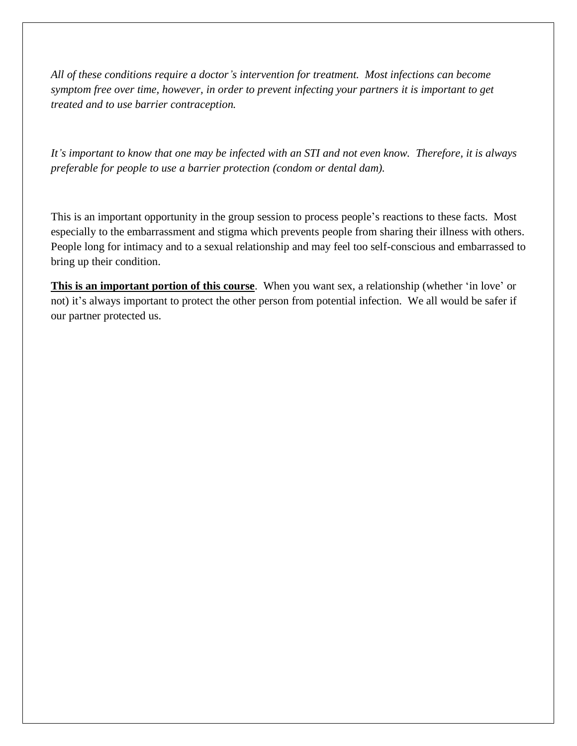*All of these conditions require a doctor's intervention for treatment. Most infections can become symptom free over time, however, in order to prevent infecting your partners it is important to get treated and to use barrier contraception.*

*It's important to know that one may be infected with an STI and not even know. Therefore, it is always preferable for people to use a barrier protection (condom or dental dam).* 

This is an important opportunity in the group session to process people's reactions to these facts. Most especially to the embarrassment and stigma which prevents people from sharing their illness with others. People long for intimacy and to a sexual relationship and may feel too self-conscious and embarrassed to bring up their condition.

**This is an important portion of this course**. When you want sex, a relationship (whether 'in love' or not) it's always important to protect the other person from potential infection. We all would be safer if our partner protected us.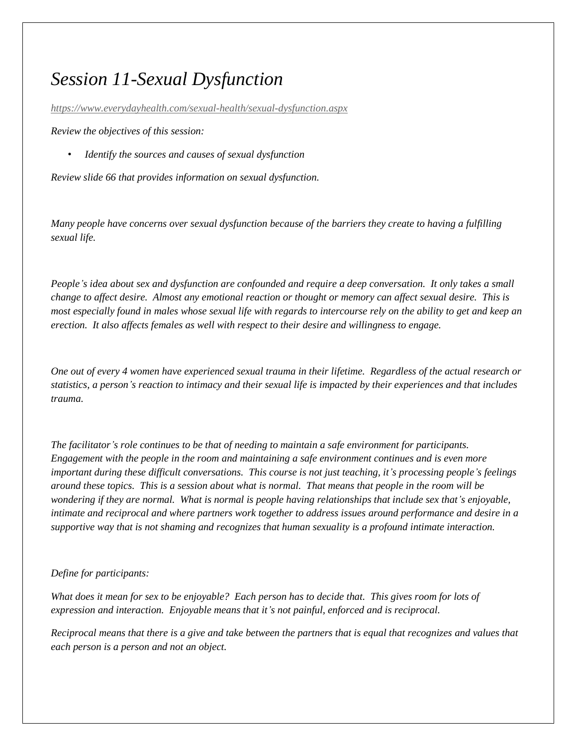# *Session 11-Sexual Dysfunction*

*<https://www.everydayhealth.com/sexual-health/sexual-dysfunction.aspx>*

*Review the objectives of this session:*

• *Identify the sources and causes of sexual dysfunction*

*Review slide 66 that provides information on sexual dysfunction.*

*Many people have concerns over sexual dysfunction because of the barriers they create to having a fulfilling sexual life.* 

*People's idea about sex and dysfunction are confounded and require a deep conversation. It only takes a small change to affect desire. Almost any emotional reaction or thought or memory can affect sexual desire. This is most especially found in males whose sexual life with regards to intercourse rely on the ability to get and keep an erection. It also affects females as well with respect to their desire and willingness to engage.* 

*One out of every 4 women have experienced sexual trauma in their lifetime. Regardless of the actual research or statistics, a person's reaction to intimacy and their sexual life is impacted by their experiences and that includes trauma.* 

*The facilitator's role continues to be that of needing to maintain a safe environment for participants. Engagement with the people in the room and maintaining a safe environment continues and is even more important during these difficult conversations. This course is not just teaching, it's processing people's feelings around these topics. This is a session about what is normal. That means that people in the room will be wondering if they are normal. What is normal is people having relationships that include sex that's enjoyable, intimate and reciprocal and where partners work together to address issues around performance and desire in a supportive way that is not shaming and recognizes that human sexuality is a profound intimate interaction.* 

#### *Define for participants:*

*What does it mean for sex to be enjoyable? Each person has to decide that. This gives room for lots of expression and interaction. Enjoyable means that it's not painful, enforced and is reciprocal.*

*Reciprocal means that there is a give and take between the partners that is equal that recognizes and values that each person is a person and not an object.*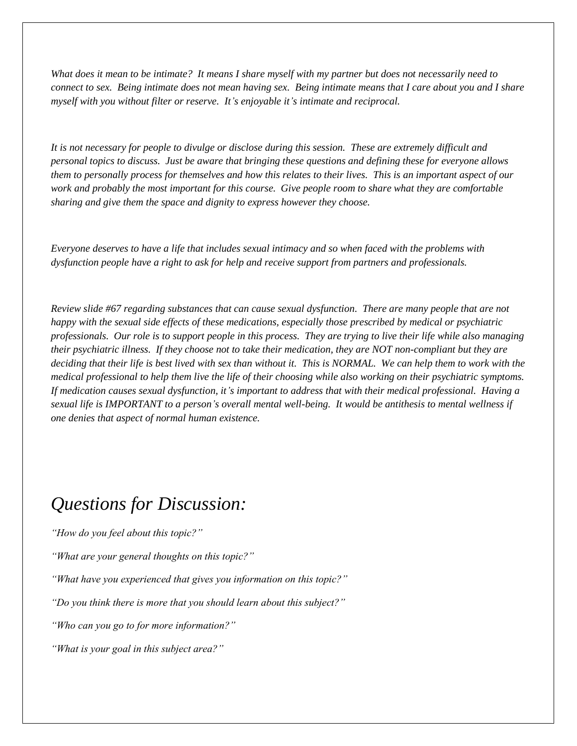*What does it mean to be intimate? It means I share myself with my partner but does not necessarily need to connect to sex. Being intimate does not mean having sex. Being intimate means that I care about you and I share myself with you without filter or reserve. It's enjoyable it's intimate and reciprocal.* 

*It is not necessary for people to divulge or disclose during this session. These are extremely difficult and personal topics to discuss. Just be aware that bringing these questions and defining these for everyone allows them to personally process for themselves and how this relates to their lives. This is an important aspect of our work and probably the most important for this course. Give people room to share what they are comfortable sharing and give them the space and dignity to express however they choose.* 

*Everyone deserves to have a life that includes sexual intimacy and so when faced with the problems with dysfunction people have a right to ask for help and receive support from partners and professionals.* 

*Review slide #67 regarding substances that can cause sexual dysfunction. There are many people that are not happy with the sexual side effects of these medications, especially those prescribed by medical or psychiatric professionals. Our role is to support people in this process. They are trying to live their life while also managing their psychiatric illness. If they choose not to take their medication, they are NOT non-compliant but they are deciding that their life is best lived with sex than without it. This is NORMAL. We can help them to work with the medical professional to help them live the life of their choosing while also working on their psychiatric symptoms. If medication causes sexual dysfunction, it's important to address that with their medical professional. Having a sexual life is IMPORTANT to a person's overall mental well-being. It would be antithesis to mental wellness if one denies that aspect of normal human existence.* 

# *Questions for Discussion:*

*"How do you feel about this topic?"*

*"What are your general thoughts on this topic?"*

*"What have you experienced that gives you information on this topic?"*

*"Do you think there is more that you should learn about this subject?"*

*"Who can you go to for more information?"*

*"What is your goal in this subject area?"*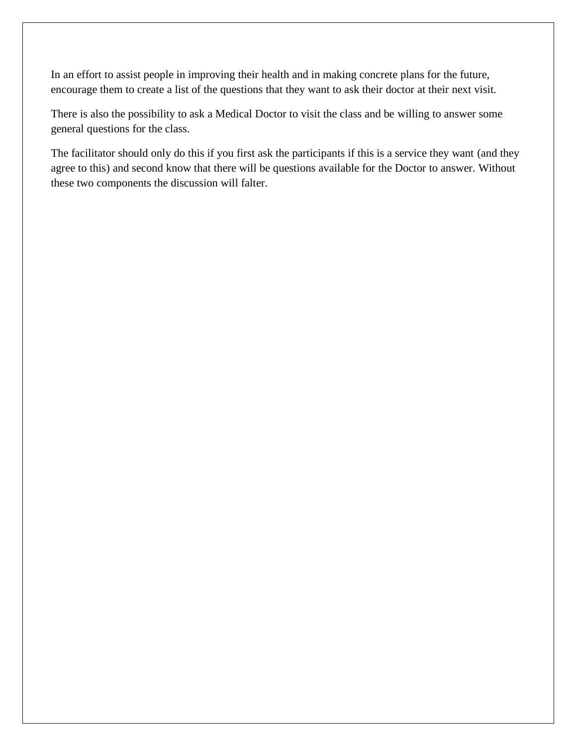In an effort to assist people in improving their health and in making concrete plans for the future, encourage them to create a list of the questions that they want to ask their doctor at their next visit.

There is also the possibility to ask a Medical Doctor to visit the class and be willing to answer some general questions for the class.

The facilitator should only do this if you first ask the participants if this is a service they want (and they agree to this) and second know that there will be questions available for the Doctor to answer. Without these two components the discussion will falter.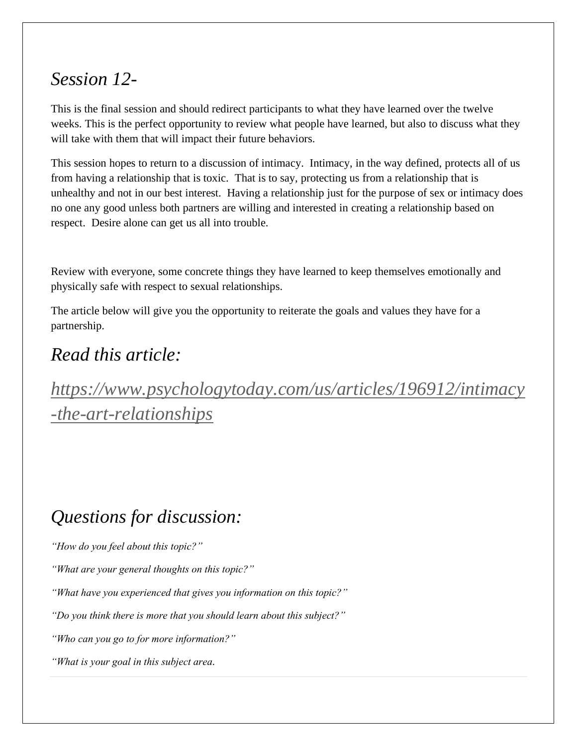# *Session 12-*

This is the final session and should redirect participants to what they have learned over the twelve weeks. This is the perfect opportunity to review what people have learned, but also to discuss what they will take with them that will impact their future behaviors.

This session hopes to return to a discussion of intimacy. Intimacy, in the way defined, protects all of us from having a relationship that is toxic. That is to say, protecting us from a relationship that is unhealthy and not in our best interest. Having a relationship just for the purpose of sex or intimacy does no one any good unless both partners are willing and interested in creating a relationship based on respect. Desire alone can get us all into trouble.

Review with everyone, some concrete things they have learned to keep themselves emotionally and physically safe with respect to sexual relationships.

The article below will give you the opportunity to reiterate the goals and values they have for a partnership.

# *Read this article:*

*[https://www.psychologytoday.com/us/articles/196912/intimacy](https://www.psychologytoday.com/us/articles/196912/intimacy-the-art-relationships) [-the-art-relationships](https://www.psychologytoday.com/us/articles/196912/intimacy-the-art-relationships)*

# *Questions for discussion:*

*"How do you feel about this topic?"*

*"What are your general thoughts on this topic?"*

*"What have you experienced that gives you information on this topic?"*

*"Do you think there is more that you should learn about this subject?"*

*"Who can you go to for more information?"*

*"What is your goal in this subject area.*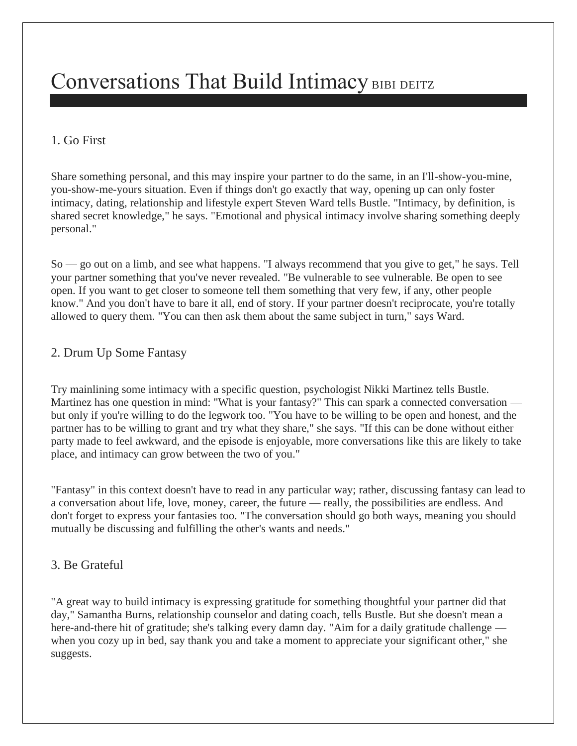# Conversations That Build Intimacy [BIBI DEITZ](https://www.bustle.com/profile/bibi-deitz-1911660)

## 1. Go First

Share something personal, and this may inspire your partner to do the same, in an I'll-show-you-mine, you-show-me-yours situation. Even if things don't go exactly that way, opening up can only foster intimacy, dating, [relationship](http://www.mastermatchmakers.com/) and lifestyle expert Steven Ward tells Bustle. "Intimacy, by definition, is shared secret knowledge," he says. "Emotional and physical intimacy involve sharing something deeply personal."

So — go out on a limb, and see what happens. "I always recommend that you give to get," he says. Tell your partner something that you've never revealed. "Be vulnerable to see vulnerable. Be open to see open. If you want to get closer to someone tell them something that very few, if any, other people know." And you don't have to bare it all, end of story. If your partner doesn't reciprocate, you're totally allowed to query them. "You can then ask them about the same subject in turn," says Ward.

### 2. Drum Up Some Fantasy

Try mainlining some intimacy with a specific question, [psychologist](http://www.huffingtonpost.com/dr-nikki-martinez-psyd-lcpc/) Nikki Martinez tells Bustle. Martinez has one question in mind: "What is your fantasy?" This can spark a connected conversation but only if you're willing to do the legwork too. "You have to be willing to be open and honest, and the partner has to be willing to grant and try what they share," she says. "If this can be done without either party made to feel awkward, and the episode is enjoyable, more conversations like this are likely to take place, and intimacy can grow between the two of you."

"Fantasy" in this context doesn't have to read in any particular way; rather, discussing fantasy can lead to a conversation about life, love, money, career, the future — really, the possibilities are endless. And don't forget to express your fantasies too. "The conversation should go both ways, meaning you should mutually be discussing and fulfilling the other's wants and needs."

## 3. Be Grateful

"A great way to build intimacy is expressing gratitude for something thoughtful your partner did that day," Samantha Burns, [relationship](http://www.lovesuccessfully.com/) counselor and dating coach, tells Bustle. But she doesn't mean a here-and-there hit of gratitude; she's talking every damn day. "Aim for a daily gratitude challenge when you cozy up in bed, say thank you and take a moment to appreciate your significant other," she suggests.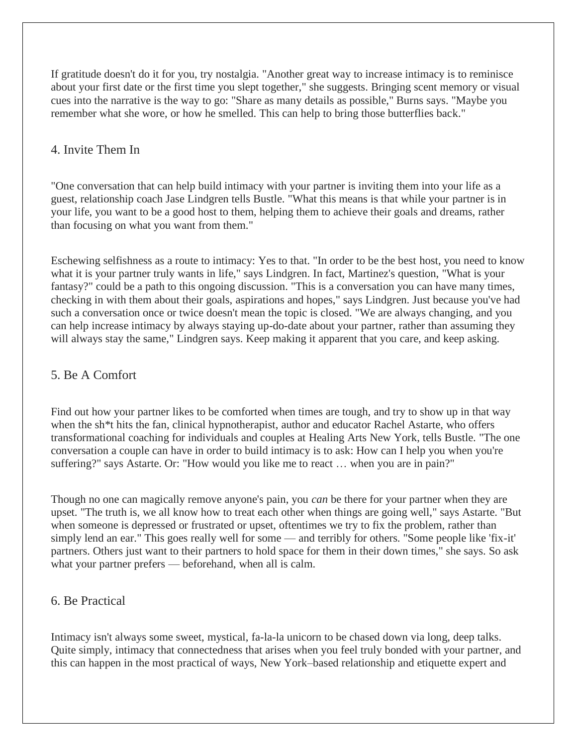If gratitude doesn't do it for you, try nostalgia. "Another great way to increase intimacy is to reminisce about your first date or the first time you slept together," she suggests. Bringing scent memory or visual cues into the narrative is the way to go: "Share as many details as possible," Burns says. "Maybe you remember what she wore, or how he smelled. This can help to bring those butterflies back."

#### 4. Invite Them In

"One conversation that can help build intimacy with your partner is inviting them into your life as a guest, [relationship](http://www.multiamory.com/) coach Jase Lindgren tells Bustle. "What this means is that while your partner is in your life, you want to be a good host to them, helping them to achieve their goals and dreams, rather than focusing on what you want from them."

Eschewing selfishness as a route to intimacy: Yes to that. "In order to be the best host, you need to know what it is your partner truly wants in life," says Lindgren. In fact, Martinez's question, "What is your fantasy?" could be a path to this ongoing discussion. "This is a conversation you can have many times, checking in with them about their goals, aspirations and hopes," says Lindgren. Just because you've had such a conversation once or twice doesn't mean the topic is closed. "We are always changing, and you can help increase intimacy by always staying up-do-date about your partner, rather than assuming they will always stay the same," Lindgren says. Keep making it apparent that you care, and keep asking.

#### 5. Be A Comfort

Find out how your partner likes to be [comforted](https://www.bustle.com/articles/130823-how-to-be-comforting-when-your-partner-is-stressed) when times are tough, and try to show up in that way when the sh<sup>\*\*</sup>t hits the fan, clinical hypnotherapist, author and educator Rachel Astarte, who offers transformational coaching for individuals and couples at [Healing](http://healingartsnewyork.com/) Arts New York, tells Bustle. "The one conversation a couple can have in order to build intimacy is to ask: How can I help you when you're suffering?" says Astarte. Or: "How would you like me to react … [when](https://www.bustle.com/articles/130823-how-to-be-comforting-when-your-partner-is-stressed) you are in pain?"

Though no one can magically remove anyone's pain, you *can* be there for your partner when they are upset. "The truth is, we all know how to treat each other when things are going well," says Astarte. "But when someone is depressed or frustrated or upset, oftentimes we try to fix the problem, rather than simply lend an ear." This goes really well for some — and terribly for others. "Some people like 'fix-it' partners. Others just want to their partners to hold space for them in their down times," she says. So ask what your partner prefers — beforehand, when all is calm.

#### 6. Be Practical

Intimacy isn't always some sweet, mystical, fa-la-la unicorn to be chased down via long, deep talks. Quite simply, intimacy that connectedness that arises when you feel truly bonded with your partner, and this can happen in the most practical of ways, New York–based [relationship](https://askapril.com/) and etiquette expert and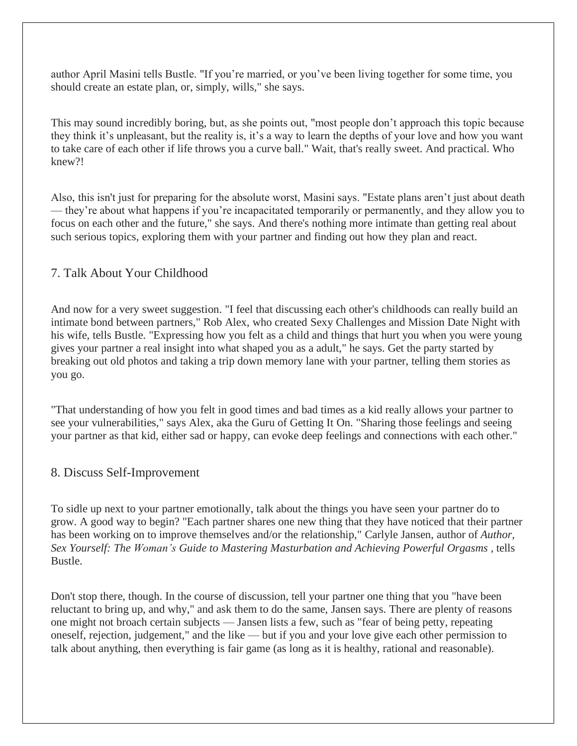author April Masini tells Bustle. "If you're married, or you've been living together for some time, you should create an estate plan, or, simply, wills," she says.

This may sound incredibly boring, but, as she points out, "most people don't approach this topic because they think it's unpleasant, but the reality is, it's a way to learn the depths of your love and how you want to take care of each other if life throws you a curve ball." Wait, that's really sweet. And practical. Who knew?!

Also, this isn't just for preparing for the absolute worst, Masini says. "Estate plans aren't just about death — they're about what happens if you're incapacitated temporarily or permanently, and they allow you to focus on each other and the future," she says. And there's nothing more intimate than getting real about such serious topics, exploring them with your partner and finding out how they plan and react.

#### 7. Talk About Your Childhood

And now for a very sweet suggestion. "I feel that discussing each other's childhoods can really build an intimate bond between partners," Rob Alex, who created Sexy [Challenges](http://sexychallenges.com/) and [Mission](http://missiondatenight.com/) Date Night with his wife, tells Bustle. "Expressing how you felt as a child and things that hurt you when you were young gives your partner a real insight into what shaped you as a adult," he says. Get the party started by breaking out old photos and taking a trip down memory lane with your partner, telling them stories as you go.

"That understanding of how you felt in good times and bad times as a kid really allows your partner to see your vulnerabilities," says Alex, aka the Guru of Getting It On. "Sharing those feelings and seeing your partner as that kid, either sad or happy, can evoke deep feelings and connections with each other."

#### 8. Discuss Self-Improvement

To sidle up next to your partner emotionally, talk about the things you have seen your partner do to grow. A good way to begin? "Each partner shares one new thing that they have noticed that their partner has been working on to improve themselves and/or the relationship," [Carlyle](http://www.carlylejansen.com/) Jansen, author of *[Author,](http://www.amazon.ca/Sex-Yourself-Mastering-Masturbation-Achieving/dp/1592336795) Sex Yourself: The Woman's Guide to Mastering [Masturbation](http://www.amazon.ca/Sex-Yourself-Mastering-Masturbation-Achieving/dp/1592336795) and Achieving Powerful Orgasms* , tells Bustle.

Don't stop there, though. In the course of discussion, tell your partner one thing that you "have been reluctant to bring up, and why," and ask them to do the same, Jansen says. There are plenty of reasons one might not broach certain subjects — Jansen lists a few, such as "fear of being petty, repeating oneself, rejection, judgement," and the like — but if you and your love give each other permission to talk about anything, then everything is fair game (as long as it is healthy, rational and reasonable).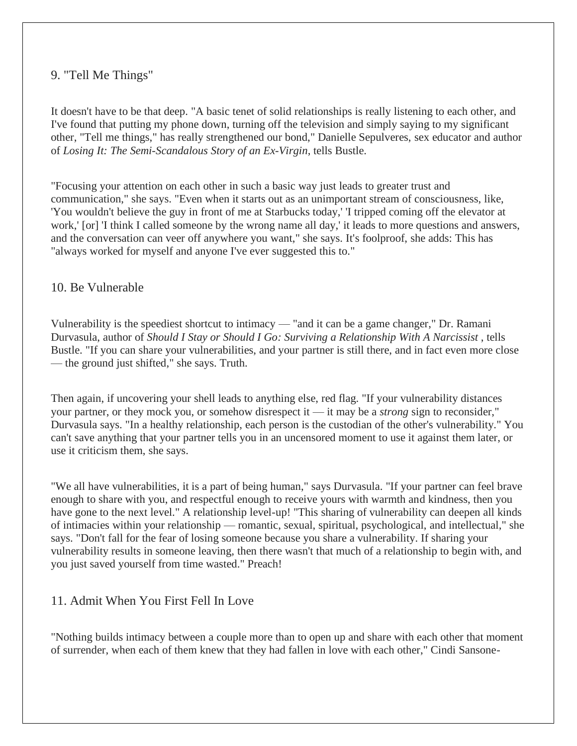### 9. "Tell Me Things"

It doesn't have to be that deep. "A basic tenet of solid relationships is really listening to each other, and I've found that putting my phone down, turning off the television and simply saying to my significant other, "Tell me things," has really strengthened our bond," Danielle Sepulveres, sex [educator](http://daniellesepulveres.com/) and author of *Losing It: The [Semi-Scandalous](http://www.amazon.com/Losing-It-Semi-Scandalous-Story-Ex-Virgin/dp/193575212X) Story of an Ex-Virgin*, tells Bustle.

"Focusing your attention on each other in such a basic way just leads to greater trust and communication," she says. "Even when it starts out as an unimportant stream of consciousness, like, 'You wouldn't believe the guy in front of me at Starbucks today,' 'I tripped coming off the elevator at work,' [or] 'I think I called someone by the wrong name all day,' it leads to more questions and answers, and the conversation can veer off anywhere you want," she says. It's foolproof, she adds: This has "always worked for myself and anyone I've ever suggested this to."

#### 10. Be Vulnerable

Vulnerability is the speediest shortcut to intimacy — "and it can be a game changer," Dr. Ramani Durvasula, author of *Should I Stay or Should I Go: Surviving a [Relationship](http://bit.ly/SurvivingNarcissists) With A Narcissist* , tells Bustle. "If you can share your vulnerabilities, and your partner is still there, and in fact even more close — the ground just shifted," she says. Truth.

Then again, if uncovering your shell leads to anything else, red flag. "If your vulnerability distances your partner, or they mock you, or somehow disrespect it — it may be a *strong* sign to reconsider," Durvasula says. "In a healthy [relationship,](https://www.bustle.com/articles/45366-10-habits-of-couples-in-strong-and-healthy-relationships) each person is the custodian of the other's vulnerability." You can't save anything that your partner tells you in an uncensored moment to use it against them later, or use it criticism them, she says.

"We all have vulnerabilities, it is a part of being human," says Durvasula. "If your partner can feel brave enough to share with you, and respectful enough to receive yours with warmth and kindness, then you have gone to the next level." A relationship level-up! "This sharing of vulnerability can deepen all kinds of intimacies within your relationship — romantic, sexual, spiritual, psychological, and intellectual," she says. "Don't fall for the fear of losing someone because you share a vulnerability. If sharing your vulnerability results in someone leaving, then there wasn't that much of a relationship to begin with, and you just saved yourself from time wasted." Preach!

#### 11. Admit When You First Fell In Love

"Nothing builds intimacy between a couple more than to open up and share with each other that moment of surrender, when each of them knew that they had fallen in love with each other," Cindi Sansone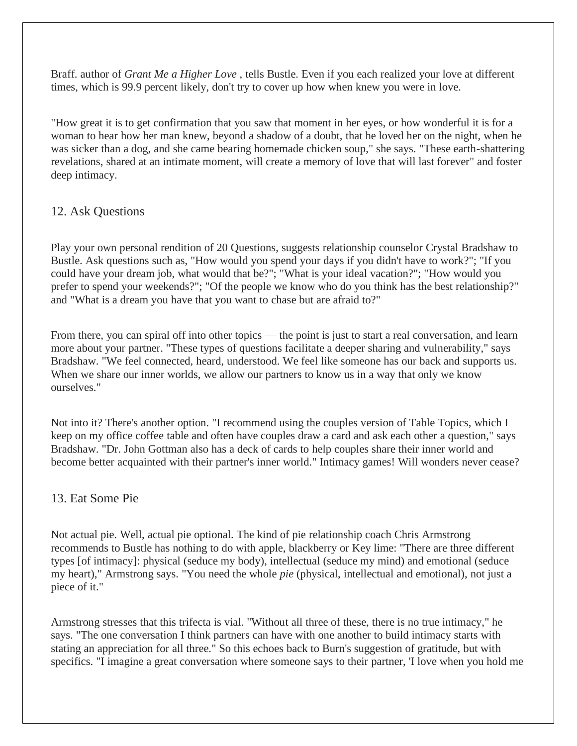Braff. author of *Grant Me a [Higher](http://www.amazon.com/gp/product/1419662627?ie=UTF8&tag=dealinq-20&linkCode=as2&camp=1789&creative=9325&creativeASIN=1419662627) Love* , tells Bustle. Even if you each realized your love at different times, which is 99.9 percent likely, don't try to cover up how when knew you were in love.

"How great it is to get confirmation that you saw that moment in her eyes, or how wonderful it is for a woman to hear how her man knew, beyond a shadow of a doubt, that he loved her on the night, when he was sicker than a dog, and she came bearing homemade chicken soup," she says. "These earth-shattering revelations, shared at an intimate moment, will create a memory of love that will last forever" and foster deep intimacy.

#### 12. Ask Questions

Play your own personal rendition of 20 Questions, suggests [relationship](http://www.synergycounselinginnovations.com/) counselor Crystal Bradshaw to Bustle. Ask questions such as, "How would you spend your days if you didn't have to work?"; "If you could have your dream job, what would that be?"; "What is your ideal vacation?"; "How would you prefer to spend your weekends?"; "Of the people we know who do you think has the best relationship?" and "What is a dream you have that you want to chase but are afraid to?"

From there, you can spiral off into other topics — the point is just to start a real conversation, and learn more about your partner. "These types of questions facilitate a deeper sharing and vulnerability," says Bradshaw. "We feel connected, heard, understood. We feel like someone has our back and supports us. When we share our inner worlds, we allow our partners to know us in a way that only we know ourselves."

Not into it? There's another option. "I recommend using the couples version of Table [Topics,](http://www.tabletopics.com/) which I keep on my office coffee table and often have couples draw a card and ask each other a question," says Bradshaw. "Dr. John Gottman also has a deck of cards to help [couples](https://www.gottman.com/shop/love-map-cards-for-couples/) share their inner world and become better acquainted with their partner's inner world." Intimacy games! Will wonders never cease?

#### 13. Eat Some Pie

Not actual pie. Well, actual pie optional. The kind of pie [relationship](https://twitter.com/Maze0fLove) coach Chris Armstrong recommends to Bustle has nothing to do with apple, blackberry or Key lime: "There are three different types [of intimacy]: physical (seduce my body), intellectual (seduce my mind) and emotional (seduce my heart)," Armstrong says. "You need the whole *pie* (physical, intellectual and emotional), not just a piece of it."

Armstrong stresses that this trifecta is vial. "Without all three of these, there is no true intimacy," he says. "The one conversation I think partners can have with one another to build intimacy starts with stating an appreciation for all three." So this echoes back to Burn's suggestion of gratitude, but with specifics. "I imagine a great conversation where someone says to their partner, 'I love when you hold me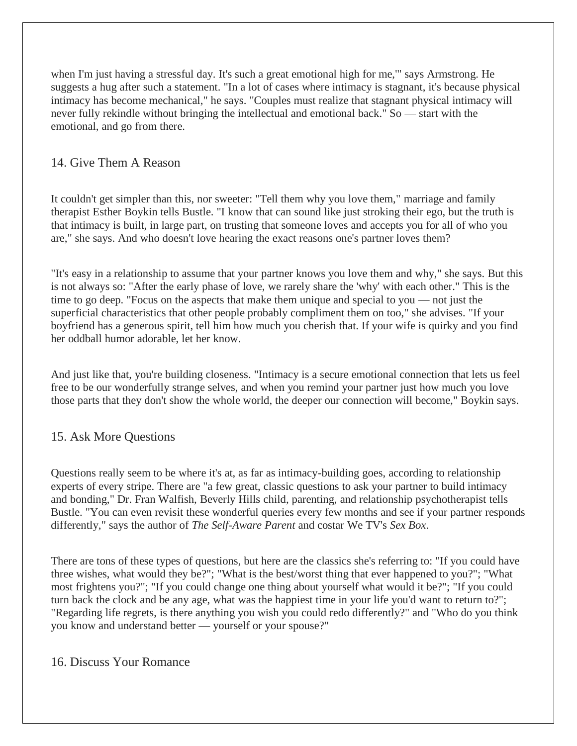when I'm just having a stressful day. It's such a great emotional high for me,'" says Armstrong. He suggests a hug after such a statement. "In a lot of cases where intimacy is stagnant, it's because physical intimacy has become mechanical," he says. "Couples must realize that stagnant physical intimacy will never fully rekindle without bringing the intellectual and emotional back." So — start with the emotional, and go from there.

#### 14. Give Them A Reason

It couldn't get simpler than this, nor sweeter: "Tell them why you love them," [marriage](http://www.estherboykin.com/) and family [therapist](http://www.estherboykin.com/) Esther Boykin tells Bustle. "I know that can sound like just stroking their ego, but the truth is that intimacy is built, in large part, on trusting that someone loves and accepts you for all of who you are," she says. And who doesn't love hearing the exact reasons one's partner loves them?

"It's easy in a relationship to assume that your partner knows you love them and why," she says. But this is not always so: "After the early phase of love, we rarely share the 'why' with each other." This is the time to go deep. "Focus on the aspects that make them unique and special to you — not just the superficial characteristics that other people probably compliment them on too," she advises. "If your boyfriend has a generous spirit, tell him how much you cherish that. If your wife is quirky and you find her oddball humor adorable, let her know.

And just like that, you're building closeness. "Intimacy is a secure emotional connection that lets us feel free to be our wonderfully strange selves, and when you remind your partner just how much you love those parts that they don't show the whole world, the deeper our connection will become," Boykin says.

#### 15. Ask More Questions

Questions really seem to be where it's at, as far as intimacy-building goes, according to relationship experts of every stripe. There are "a few great, classic questions to ask your partner to build intimacy and bonding," Dr. Fran Walfish, Beverly Hills child, parenting, and relationship [psychotherapist](http://drfranwalfish.com/) tells Bustle. "You can even revisit these wonderful queries every few months and see if your partner responds differently," says the author of *The Self-Aware Parent* and costar We TV's *Sex Box*.

There are tons of these types of questions, but here are the classics she's referring to: "If you could have three wishes, what would they be?"; "What is the best/worst thing that ever happened to you?"; "What most frightens you?"; "If you could change one thing about yourself what would it be?"; "If you could turn back the clock and be any age, what was the happiest time in your life you'd want to return to?"; "Regarding life regrets, is there anything you wish you could redo differently?" and "Who do you think you know and understand better — yourself or your spouse?"

#### 16. Discuss Your Romance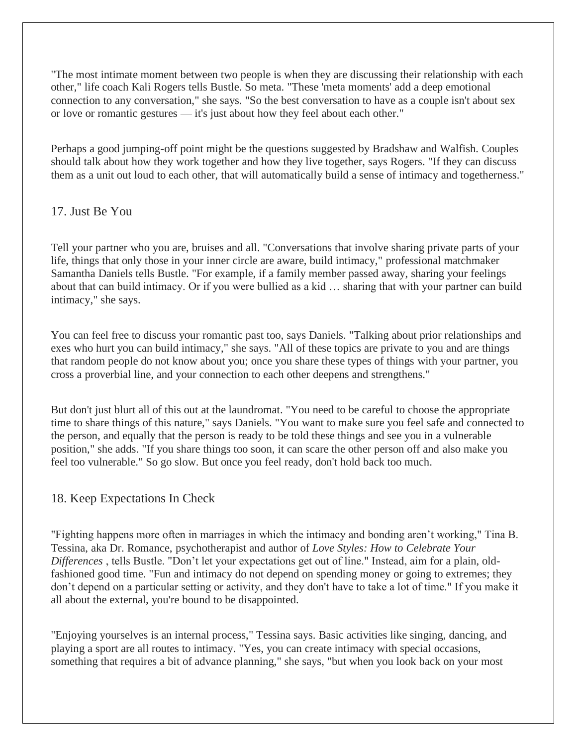"The most intimate moment between two people is when they are discussing their relationship with each other," life [coach](http://joinblush.com/) Kali Rogers tells Bustle. So meta. "These 'meta moments' add a deep emotional connection to any conversation," she says. "So the best conversation to have as a couple isn't about sex or love or romantic gestures — it's just about how they feel about each other."

Perhaps a good jumping-off point might be the questions suggested by Bradshaw and Walfish. Couples should talk about how they work together and how they live together, says Rogers. "If they can discuss them as a unit out loud to each other, that will automatically build a sense of intimacy and togetherness."

### 17. Just Be You

Tell your partner who you are, bruises and all. "Conversations that involve sharing private parts of your life, things that only those in your inner circle are aware, build intimacy," [professional](http://www.thedatinglounge.net/) matchmaker Samantha Daniels tells Bustle. "For example, if a family member passed away, sharing your feelings about that can build intimacy. Or if you were bullied as a kid … sharing that with your partner can build intimacy," she says.

You can feel free to discuss your romantic past too, says Daniels. "Talking about prior relationships and exes who hurt you can build intimacy," she says. "All of these topics are private to you and are things that random people do not know about you; once you share these types of things with your partner, you cross a proverbial line, and your connection to each other deepens and strengthens."

But don't just blurt all of this out at the laundromat. "You need to be careful to choose the appropriate time to share things of this nature," says Daniels. "You want to make sure you feel safe and connected to the person, and equally that the person is ready to be told these things and see you in a vulnerable position," she adds. "If you share things too soon, it can scare the other person off and also make you feel too vulnerable." So go slow. But once you feel ready, don't hold back too much.

#### 18. Keep Expectations In Check

"Fighting happens more often in marriages in which the intimacy and bonding aren't working," Tina B. Tessina, aka Dr. Romance, psychotherapist and author of *Love Styles: How to [Celebrate](http://www.amazon.com/Love-Styles-Celebrate-Your-Differences/dp/1463783531) Your [Differences](http://www.amazon.com/Love-Styles-Celebrate-Your-Differences/dp/1463783531)* , tells Bustle. "Don't let your expectations get out of line." Instead, aim for a plain, oldfashioned good time. "Fun and intimacy do not depend on spending money or going to extremes; they don't depend on a particular setting or activity, and they don't have to take a lot of time." If you make it all about the external, you're bound to be disappointed.

"Enjoying yourselves is an internal process," Tessina says. Basic activities like singing, dancing, and playing a sport are all routes to intimacy. "Yes, you can create intimacy with special occasions, something that requires a bit of advance planning," she says, "but when you look back on your most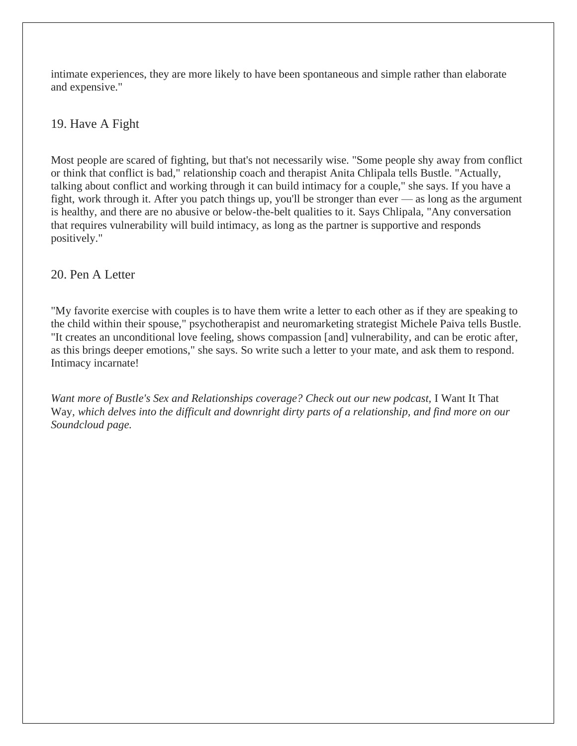intimate experiences, they are more likely to have been spontaneous and simple rather than elaborate and expensive."

## 19. Have A Fight

Most people are scared of fighting, but that's not necessarily wise. "Some people shy away from conflict or think that conflict is bad," [relationship](http://relationshipreality312.com/) coach and therapist Anita Chlipala tells Bustle. "Actually, talking about conflict and working through it can build intimacy for a couple," she says. If you have a fight, work through it. After you patch things up, you'll be stronger than ever — as long as the argument is healthy, and there are no abusive or below-the-belt qualities to it. Says Chlipala, "Any conversation that requires vulnerability will build intimacy, as long as the partner is supportive and responds positively."

#### 20. Pen A Letter

"My favorite exercise with couples is to have them write a letter to each other as if they are speaking to the child within their spouse," [psychotherapist](http://michelepaiva.com/) and neuromarketing strategist Michele Paiva tells Bustle. "It creates an unconditional love feeling, shows compassion [and] vulnerability, and can be erotic after, as this brings deeper emotions," she says. So write such a letter to your mate, and ask them to respond. Intimacy incarnate!

Want more of Bustle's Sex and Relationships coverage? Check out our new podcast, I Want It That Way*, which delves into the difficult and downright dirty parts of a relationship, and find more on [our](https://soundcloud.com/i-want-it-that-way) [Soundcloud](https://soundcloud.com/i-want-it-that-way) page.*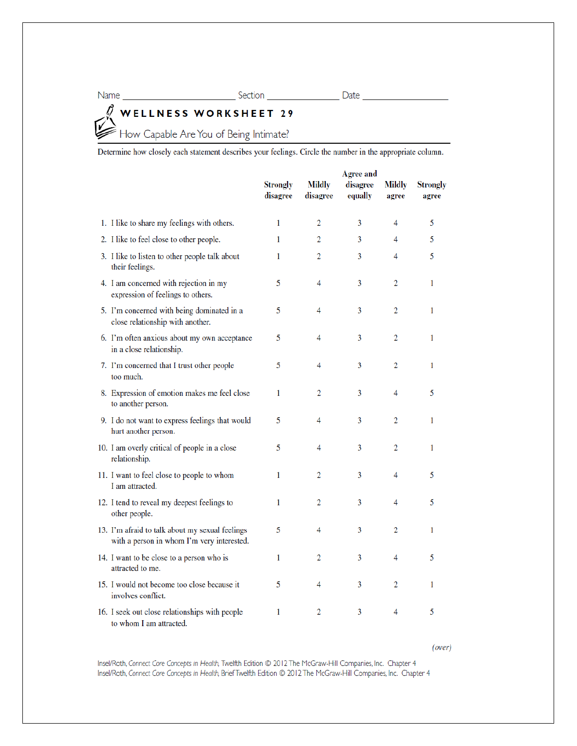# WELLNESS WORKSHEET 29<br>Example Are You of Being Intimate? l)

Determine how closely each statement describes your feelings. Circle the number in the appropriate column.

|                                                                                               | <b>Strongly</b><br>disagree | <b>Mildly</b><br>disagree | <b>Agree and</b><br>disagree<br>equally | <b>Mildly</b><br>agree | <b>Strongly</b><br>agree |
|-----------------------------------------------------------------------------------------------|-----------------------------|---------------------------|-----------------------------------------|------------------------|--------------------------|
| 1. I like to share my feelings with others.                                                   | 1                           | 2                         | 3                                       | 4                      | 5                        |
| 2. I like to feel close to other people.                                                      | 1                           | 2                         | 3                                       | 4                      | 5                        |
| 3. I like to listen to other people talk about<br>their feelings.                             | 1                           | 2                         | 3                                       | 4                      | 5                        |
| 4. I am concerned with rejection in my<br>expression of feelings to others.                   | 5                           | 4                         | 3                                       | 2                      | 1                        |
| 5. I'm concerned with being dominated in a<br>close relationship with another.                | 5                           | 4                         | 3                                       | 2                      | 1                        |
| 6. I'm often anxious about my own acceptance<br>in a close relationship.                      | 5                           | 4                         | 3                                       | 2                      | 1                        |
| 7. I'm concerned that I trust other people<br>too much.                                       | 5                           | 4                         | 3                                       | 2                      | 1                        |
| 8. Expression of emotion makes me feel close<br>to another person.                            | 1                           | 2                         | 3                                       | 4                      | 5                        |
| 9. I do not want to express feelings that would<br>hurt another person.                       | 5                           | 4                         | 3                                       | 2                      | 1                        |
| 10. I am overly critical of people in a close<br>relationship.                                | 5                           | 4                         | 3                                       | 2                      | 1                        |
| 11. I want to feel close to people to whom<br>I am attracted.                                 | 1                           | 2                         | 3                                       | 4                      | 5                        |
| 12. I tend to reveal my deepest feelings to<br>other people.                                  | 1                           | 2                         | 3                                       | 4                      | 5                        |
| 13. I'm afraid to talk about my sexual feelings<br>with a person in whom I'm very interested. | 5                           | 4                         | 3                                       | 2                      | 1                        |
| 14. I want to be close to a person who is<br>attracted to me.                                 | 1                           | 2                         | 3                                       | 4                      | 5                        |
| 15. I would not become too close because it<br>involves conflict.                             | 5                           | 4                         | 3                                       | 2                      | 1                        |
| 16. I seek out close relationships with people<br>to whom I am attracted.                     | 1                           | 2                         | 3                                       | 4                      | 5                        |

 $(over)$ 

Insel/Roth, Connect Core Concepts in Health, Twelfth Edition @ 2012 The McGraw-Hill Companies, Inc. Chapter 4 Insel/Roth, Connect Core Concepts in Health, Brief Twelfth Edition @ 2012 The McGraw-Hill Companies, Inc. Chapter 4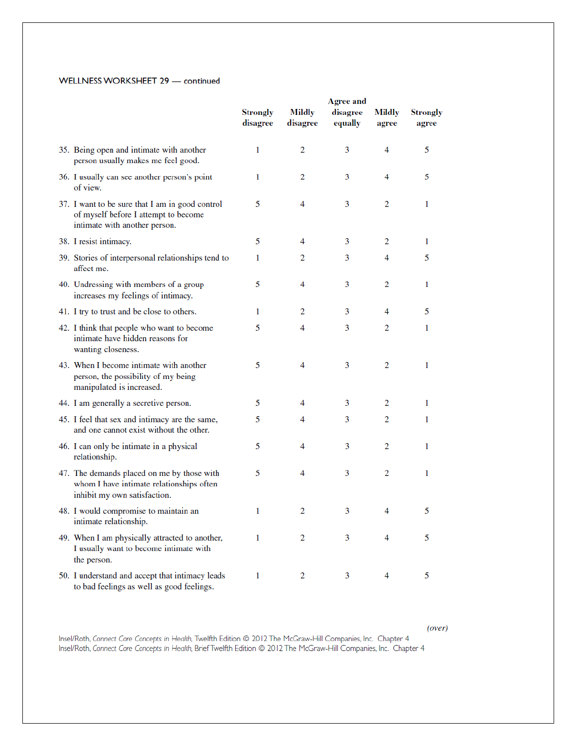#### WELLNESS WORKSHEET 29 - continued

|                                                                                                                          | <b>Agree and</b>            |                           |                     |                 |                          |
|--------------------------------------------------------------------------------------------------------------------------|-----------------------------|---------------------------|---------------------|-----------------|--------------------------|
|                                                                                                                          | <b>Strongly</b><br>disagree | <b>Mildly</b><br>disagree | disagree<br>equally | Mildly<br>agree | <b>Strongly</b><br>agree |
| 35. Being open and intimate with another<br>person usually makes me feel good.                                           | 1                           | 2                         | 3                   | 4               | 5                        |
| 36. I usually can see another person's point<br>of view.                                                                 | 1                           | 2                         | 3                   | 4               | 5                        |
| 37. I want to be sure that I am in good control<br>of myself before I attempt to become<br>intimate with another person. | 5                           | 4                         | 3                   | 2               | 1                        |
| 38. I resist intimacy.                                                                                                   | 5                           | 4                         | 3                   | 2               | 1                        |
| 39. Stories of interpersonal relationships tend to<br>affect me.                                                         | 1                           | 2                         | 3                   | 4               | 5                        |
| 40. Undressing with members of a group<br>increases my feelings of intimacy.                                             | 5                           | 4                         | 3                   | 2               | 1                        |
| 41. I try to trust and be close to others.                                                                               | 1                           | 2                         | 3                   | 4               | 5                        |
| 42. I think that people who want to become<br>intimate have hidden reasons for<br>wanting closeness.                     | 5                           | 4                         | 3                   | 2               | 1                        |
| 43. When I become intimate with another<br>person, the possibility of my being<br>manipulated is increased.              | 5                           | 4                         | 3                   | 2               | 1                        |
| 44. I am generally a secretive person.                                                                                   | 5                           | 4                         | 3                   | 2               | 1                        |
| 45. I feel that sex and intimacy are the same,<br>and one cannot exist without the other.                                | 5                           | 4                         | 3                   | 2               | 1                        |
| 46. I can only be intimate in a physical<br>relationship.                                                                | 5                           | 4                         | 3                   | 2               | 1                        |
| 47. The demands placed on me by those with<br>whom I have intimate relationships often<br>inhibit my own satisfaction.   | 5                           | 4                         | 3                   | $\overline{2}$  | 1                        |
| 48. I would compromise to maintain an<br>intimate relationship.                                                          | 1                           | 2                         | 3                   | 4               | 5                        |
| 49. When I am physically attracted to another,<br>I usually want to become intimate with<br>the person.                  | 1                           | 2                         | 3                   | 4               | 5                        |
| 50. I understand and accept that intimacy leads<br>to bad feelings as well as good feelings.                             | 1                           | 2                         | 3                   | 4               | 5                        |

 $(over)$ 

Insel/Roth, Connect Core Concepts in Health, Twelfth Edition © 2012 The McGraw-Hill Companies, Inc. Chapter 4<br>Insel/Roth, Connect Core Concepts in Health, Brief Twelfth Edition © 2012 The McGraw-Hill Companies, Inc. Chapte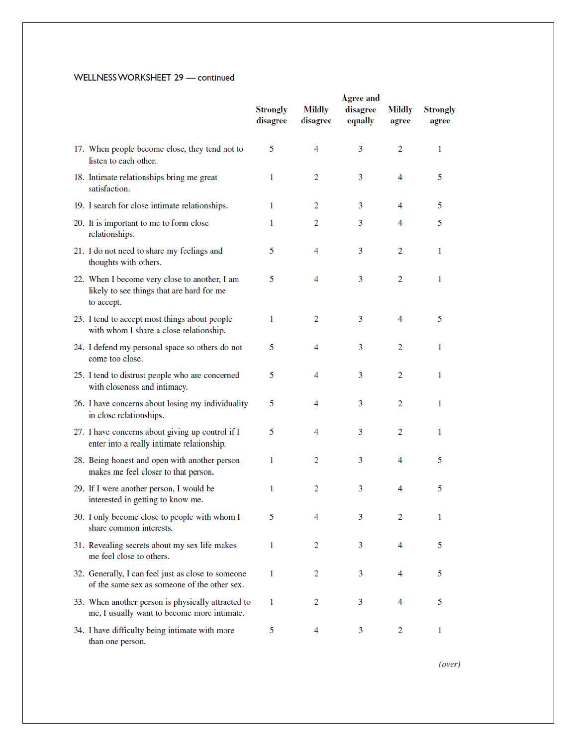#### WELLNESS WORKSHEET 29 - continued

|                                                                                                          |                             | <b>Agree and</b>          |                     |                        |                          |
|----------------------------------------------------------------------------------------------------------|-----------------------------|---------------------------|---------------------|------------------------|--------------------------|
|                                                                                                          | <b>Strongly</b><br>disagree | <b>Mildly</b><br>disagree | disagree<br>equally | <b>Mildly</b><br>agree | <b>Strongly</b><br>agree |
| 17. When people become close, they tend not to<br>listen to each other.                                  | 5                           | 4                         | 3                   | 2                      | 1                        |
| 18. Intimate relationships bring me great<br>satisfaction.                                               | 1                           | 2                         | 3                   | 4                      | 5                        |
| 19. I search for close intimate relationships.                                                           | 1                           | 2                         | 3                   | 4                      | 5                        |
| 20. It is important to me to form close<br>relationships.                                                | 1                           | 2                         | 3                   | 4                      | 5                        |
| 21. I do not need to share my feelings and<br>thoughts with others.                                      | 5                           | 4                         | 3                   | 2                      | 1                        |
| 22. When I become very close to another, I am<br>likely to see things that are hard for me<br>to accept. | 5                           | 4                         | 3                   | 2                      | 1                        |
| 23. I tend to accept most things about people<br>with whom I share a close relationship.                 | 1                           | 2                         | 3                   | 4                      | 5                        |
| 24. I defend my personal space so others do not<br>come too close.                                       | 5                           | 4                         | 3                   | 2                      | 1.                       |
| 25. I tend to distrust people who are concerned<br>with closeness and intimacy.                          | 5                           | 4                         | 3                   | $\overline{2}$         | 1                        |
| 26. I have concerns about losing my individuality<br>in close relationships.                             | 5                           | 4                         | 3                   | 2                      | 1                        |
| 27. I have concerns about giving up control if I<br>enter into a really intimate relationship.           | 5                           | 4                         | 3                   | $\overline{2}$         | 1                        |
| 28. Being honest and open with another person<br>makes me feel closer to that person.                    | 1                           | 2                         | 3                   | 4                      | 5                        |
| 29. If I were another person, I would be<br>interested in getting to know me.                            | 1                           | 2                         | 3                   | 4                      | 5                        |
| 30. I only become close to people with whom I<br>share common interests.                                 | 5                           |                           | 3                   | 2                      | 1                        |
| 31. Revealing secrets about my sex life makes<br>me feel close to others.                                | 1                           | 2                         | 3                   | 4                      | 5                        |
| 32. Generally, I can feel just as close to someone<br>of the same sex as someone of the other sex.       | 1                           | 2                         | 3                   | 4                      | 5                        |
| 33. When another person is physically attracted to<br>me, I usually want to become more intimate.        | 1                           | 2                         | 3                   | 4                      | 5                        |
| 34. I have difficulty being intimate with more<br>than one person.                                       | 5                           | 4                         | 3                   | $\overline{2}$         | 1                        |

 $(over)$